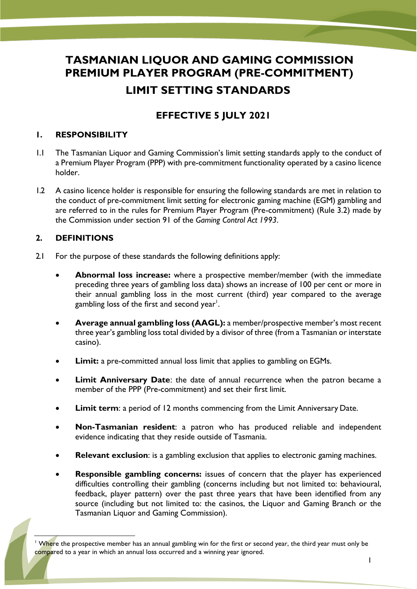# **TASMANIAN LIQUOR AND GAMING COMMISSION PREMIUM PLAYER PROGRAM (PRE-COMMITMENT) LIMIT SETTING STANDARDS**

## **EFFECTIVE 5 JULY 2021**

#### **1. RESPONSIBILITY**

- 1.1 The Tasmanian Liquor and Gaming Commission's limit setting standards apply to the conduct of a Premium Player Program (PPP) with pre-commitment functionality operated by a casino licence holder.
- 1.2 A casino licence holder is responsible for ensuring the following standards are met in relation to the conduct of pre-commitment limit setting for electronic gaming machine (EGM) gambling and are referred to in the rules for Premium Player Program (Pre-commitment) (Rule 3.2) made by the Commission under section 91 of the *Gaming Control Act 1993*.

#### **2. DEFINITIONS**

- 2.1 For the purpose of these standards the following definitions apply:
	- **Abnormal loss increase:** where a prospective member/member (with the immediate preceding three years of gambling loss data) shows an increase of 100 per cent or more in their annual gambling loss in the most current (third) year compared to the average gambling loss of the first and second year $^{\mathsf{l}}.$
	- **Average annual gambling loss (AAGL):** a member/prospective member's most recent three year's gambling loss total divided by a divisor of three (from a Tasmanian or interstate casino).
	- **Limit:** a pre-committed annual loss limit that applies to gambling on EGMs.
	- **Limit Anniversary Date**: the date of annual recurrence when the patron became a member of the PPP (Pre-commitment) and set their first limit.
	- **Limit term**: a period of 12 months commencing from the Limit Anniversary Date.
	- **Non-Tasmanian resident**: a patron who has produced reliable and independent evidence indicating that they reside outside of Tasmania.
	- **Relevant exclusion**: is a gambling exclusion that applies to electronic gaming machines.
	- **Responsible gambling concerns:** issues of concern that the player has experienced difficulties controlling their gambling (concerns including but not limited to: behavioural, feedback, player pattern) over the past three years that have been identified from any source (including but not limited to: the casinos, the Liquor and Gaming Branch or the Tasmanian Liquor and Gaming Commission).

<sup>&</sup>lt;sup>1</sup> Where the prospective member has an annual gambling win for the first or second year, the third year must only be compared to a year in which an annual loss occurred and a winning year ignored.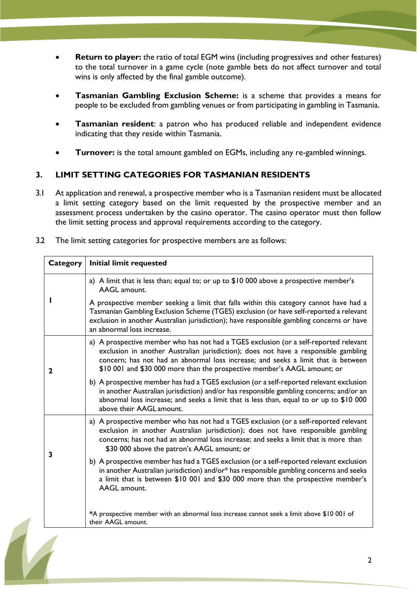- **Return to player:** the ratio of total EGM wins (including progressives and other features) to the total turnover in a game cycle (note gamble bets do not affect turnover and total wins is only affected by the final gamble outcome).
- **Tasmanian Gambling Exclusion Scheme:** is a scheme that provides a means for people to be excluded from gambling venues or from participating in gambling in Tasmania.
- **Tasmanian resident**: a patron who has produced reliable and independent evidence indicating that they reside within Tasmania.
- **Turnover:** is the total amount gambled on EGMs, including any re-gambled winnings.

#### **3. LIMIT SETTING CATEGORIES FOR TASMANIAN RESIDENTS**

- 3.1 At application and renewal, a prospective member who is a Tasmanian resident must be allocated a limit setting category based on the limit requested by the prospective member and an assessment process undertaken by the casino operator. The casino operator must then follow the limit setting process and approval requirements according to the category.
- 3.2 The limit setting categories for prospective members are as follows:

| <b>Category</b> | <b>Initial limit requested</b>                                                                                                                                                                                                                                                                                                                |
|-----------------|-----------------------------------------------------------------------------------------------------------------------------------------------------------------------------------------------------------------------------------------------------------------------------------------------------------------------------------------------|
|                 | a) A limit that is less than; equal to; or up to \$10 000 above a prospective member's<br><b>AAGL</b> amount.                                                                                                                                                                                                                                 |
|                 | A prospective member seeking a limit that falls within this category cannot have had a<br>Tasmanian Gambling Exclusion Scheme (TGES) exclusion (or have self-reported a relevant<br>exclusion in another Australian jurisdiction); have responsible gambling concerns or have<br>an abnormal loss increase.                                   |
| $\mathbf 2$     | a) A prospective member who has not had a TGES exclusion (or a self-reported relevant<br>exclusion in another Australian jurisdiction); does not have a responsible gambling<br>concern; has not had an abnormal loss increase; and seeks a limit that is between<br>\$10 001 and \$30 000 more than the prospective member's AAGL amount; or |
|                 | b) A prospective member has had a TGES exclusion (or a self-reported relevant exclusion<br>in another Australian jurisdiction) and/or has responsible gambling concerns; and/or an<br>abnormal loss increase; and seeks a limit that is less than, equal to or up to \$10 000<br>above their AAGL amount.                                     |
| 3               | a) A prospective member who has not had a TGES exclusion (or a self-reported relevant<br>exclusion in another Australian jurisdiction); does not have responsible gambling<br>concerns; has not had an abnormal loss increase; and seeks a limit that is more than<br>\$30 000 above the patron's AAGL amount; or                             |
|                 | b) A prospective member has had a TGES exclusion (or a self-reported relevant exclusion<br>in another Australian jurisdiction) and/or* has responsible gambling concerns and seeks<br>a limit that is between \$10 001 and \$30 000 more than the prospective member's<br><b>AAGL</b> amount.                                                 |
|                 | *A prospective member with an abnormal loss increase cannot seek a limit above \$10 001 of<br>their AAGL amount.                                                                                                                                                                                                                              |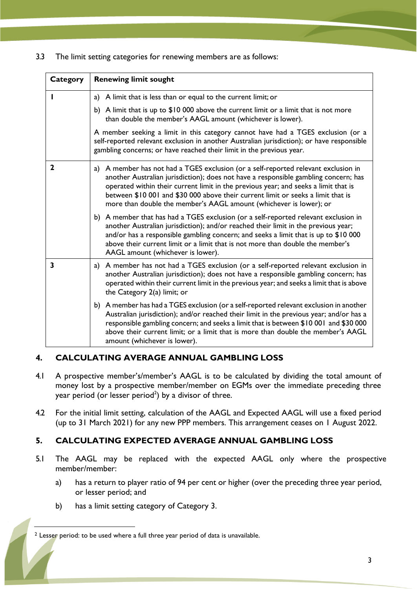3.3 The limit setting categories for renewing members are as follows:

| Category     | <b>Renewing limit sought</b>                                                                                                                                                                                                                                                                                                                                                                                               |
|--------------|----------------------------------------------------------------------------------------------------------------------------------------------------------------------------------------------------------------------------------------------------------------------------------------------------------------------------------------------------------------------------------------------------------------------------|
|              | a) A limit that is less than or equal to the current limit; or                                                                                                                                                                                                                                                                                                                                                             |
|              | b) A limit that is up to $$10 000$ above the current limit or a limit that is not more<br>than double the member's AAGL amount (whichever is lower).                                                                                                                                                                                                                                                                       |
|              | A member seeking a limit in this category cannot have had a TGES exclusion (or a<br>self-reported relevant exclusion in another Australian jurisdiction); or have responsible<br>gambling concerns; or have reached their limit in the previous year.                                                                                                                                                                      |
| $\mathbf{2}$ | a) A member has not had a TGES exclusion (or a self-reported relevant exclusion in<br>another Australian jurisdiction); does not have a responsible gambling concern; has<br>operated within their current limit in the previous year; and seeks a limit that is<br>between \$10 001 and \$30 000 above their current limit or seeks a limit that is<br>more than double the member's AAGL amount (whichever is lower); or |
|              | b) A member that has had a TGES exclusion (or a self-reported relevant exclusion in<br>another Australian jurisdiction); and/or reached their limit in the previous year;<br>and/or has a responsible gambling concern; and seeks a limit that is up to \$10 000<br>above their current limit or a limit that is not more than double the member's<br>AAGL amount (whichever is lower).                                    |
| 3            | a) A member has not had a TGES exclusion (or a self-reported relevant exclusion in<br>another Australian jurisdiction); does not have a responsible gambling concern; has<br>operated within their current limit in the previous year; and seeks a limit that is above<br>the Category 2(a) limit; or                                                                                                                      |
|              | b) A member has had a TGES exclusion (or a self-reported relevant exclusion in another<br>Australian jurisdiction); and/or reached their limit in the previous year; and/or has a<br>responsible gambling concern; and seeks a limit that is between \$10 001 and \$30 000<br>above their current limit; or a limit that is more than double the member's AAGL<br>amount (whichever is lower).                             |

#### **4. CALCULATING AVERAGE ANNUAL GAMBLING LOSS**

- 4.1 A prospective member's/member's AAGL is to be calculated by dividing the total amount of money lost by a prospective member/member on EGMs over the immediate preceding three year period (or lesser period $^2$ ) by a divisor of three.
- 4.2 For the initial limit setting, calculation of the AAGL and Expected AAGL will use a fixed period (up to 31 March 2021) for any new PPP members. This arrangement ceases on 1 August 2022.

### **5. CALCULATING EXPECTED AVERAGE ANNUAL GAMBLING LOSS**

- 5.1 The AAGL may be replaced with the expected AAGL only where the prospective member/member:
	- a) has a return to player ratio of 94 per cent or higher (over the preceding three year period, or lesser period; and
	- b) has a limit setting category of Category 3.

<sup>&</sup>lt;sup>2</sup> Lesser period: to be used where a full three year period of data is unavailable.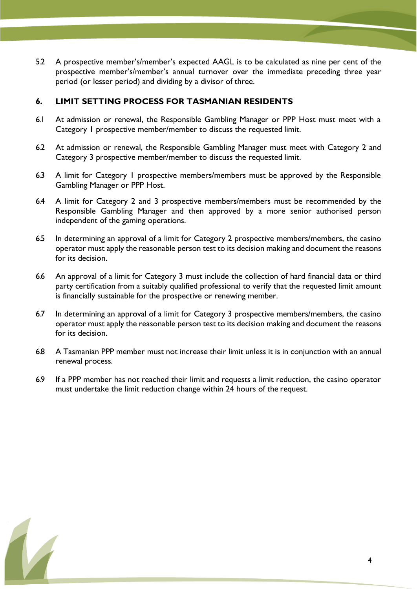5.2 A prospective member's/member's expected AAGL is to be calculated as nine per cent of the prospective member's/member's annual turnover over the immediate preceding three year period (or lesser period) and dividing by a divisor of three.

#### **6. LIMIT SETTING PROCESS FOR TASMANIAN RESIDENTS**

- 6.1 At admission or renewal, the Responsible Gambling Manager or PPP Host must meet with a Category 1 prospective member/member to discuss the requested limit.
- 6.2 At admission or renewal, the Responsible Gambling Manager must meet with Category 2 and Category 3 prospective member/member to discuss the requested limit.
- 6.3 A limit for Category 1 prospective members/members must be approved by the Responsible Gambling Manager or PPP Host.
- 6.4 A limit for Category 2 and 3 prospective members/members must be recommended by the Responsible Gambling Manager and then approved by a more senior authorised person independent of the gaming operations.
- 6.5 In determining an approval of a limit for Category 2 prospective members/members, the casino operator must apply the reasonable person test to its decision making and document the reasons for its decision.
- 6.6 An approval of a limit for Category 3 must include the collection of hard financial data or third party certification from a suitably qualified professional to verify that the requested limit amount is financially sustainable for the prospective or renewing member.
- 6.7 In determining an approval of a limit for Category 3 prospective members/members, the casino operator must apply the reasonable person test to its decision making and document the reasons for its decision.
- 6.8 A Tasmanian PPP member must not increase their limit unless it is in conjunction with an annual renewal process.
- 6.9 If a PPP member has not reached their limit and requests a limit reduction, the casino operator must undertake the limit reduction change within 24 hours of the request.